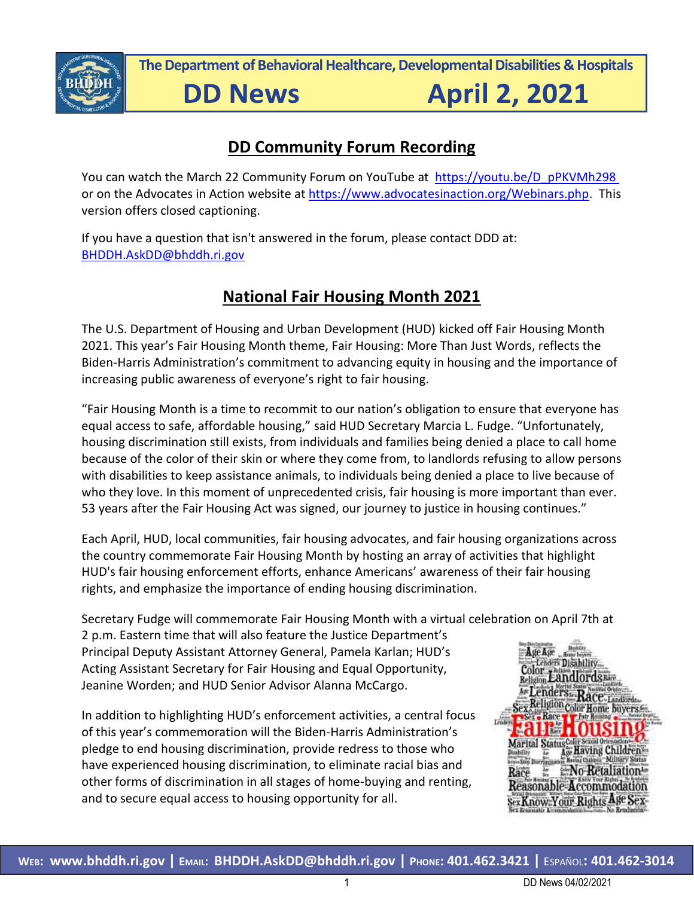

**The Department of Behavioral Healthcare, Developmental Disabilities & Hospitals**

# **DD News**

**April 2, 2021** 

## **DD Community Forum Recording**

You can watch the March 22 Community Forum on YouTube at [https://youtu.be/D\\_pPKVMh298](https://youtu.be/D_pPKVMh298%20%5b)  or on the Advocates in Action website at [https://www.advocatesinaction.org/Webinars.php.](https://www.advocatesinaction.org/Webinars.php) This version offers closed captioning.

If you have a question that isn't answered in the forum, please contact DDD at: [BHDDH.AskDD@bhddh.ri.gov](mailto:BHDDH.AskDD@bhddh.ri.gov)

# **National Fair Housing Month 2021**

The U.S. Department of Housing and Urban Development (HUD) kicked off Fair Housing Month 2021. This year's Fair Housing Month theme, Fair Housing: More Than Just Words, reflects the Biden-Harris Administration's commitment to advancing equity in housing and the importance of increasing public awareness of everyone's right to fair housing.

"Fair Housing Month is a time to recommit to our nation's obligation to ensure that everyone has equal access to safe, affordable housing," said HUD Secretary Marcia L. Fudge. "Unfortunately, housing discrimination still exists, from individuals and families being denied a place to call home because of the color of their skin or where they come from, to landlords refusing to allow persons with disabilities to keep assistance animals, to individuals being denied a place to live because of who they love. In this moment of unprecedented crisis, fair housing is more important than ever. 53 years after the Fair Housing Act was signed, our journey to justice in housing continues."

Each April, HUD, local communities, fair housing advocates, and fair housing organizations across the country commemorate Fair Housing Month by hosting an array of activities that highlight HUD's fair housing enforcement efforts, enhance Americans' awareness of their fair housing rights, and emphasize the importance of ending housing discrimination.

Secretary Fudge will commemorate Fair Housing Month with a virtual celebration on April 7th at

2 p.m. Eastern time that will also feature the Justice Department's Principal Deputy Assistant Attorney General, Pamela Karlan; HUD's Acting Assistant Secretary for Fair Housing and Equal Opportunity, Jeanine Worden; and HUD Senior Advisor Alanna McCargo.

In addition to highlighting HUD's enforcement activities, a central focus of this year's commemoration will the Biden-Harris Administration's pledge to end housing discrimination, provide redress to those who have experienced housing discrimination, to eliminate racial bias and other forms of discrimination in all stages of home-buying and renting, and to secure equal access to housing opportunity for all.

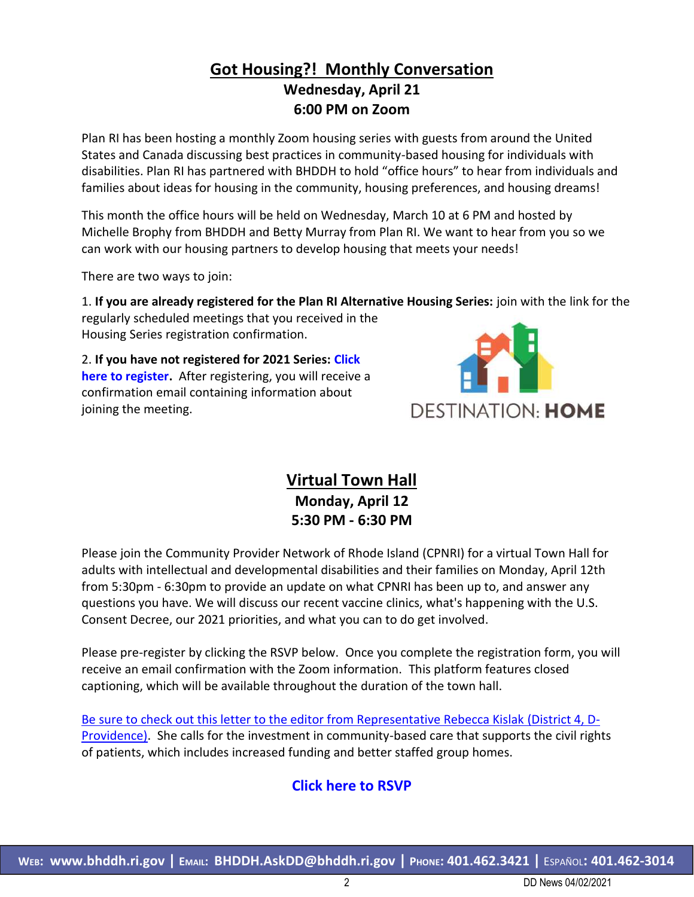## **Got Housing?! Monthly Conversation Wednesday, April 21 6:00 PM on Zoom**

Plan RI has been hosting a monthly Zoom housing series with guests from around the United States and Canada discussing best practices in community-based housing for individuals with disabilities. Plan RI has partnered with BHDDH to hold "office hours" to hear from individuals and families about ideas for housing in the community, housing preferences, and housing dreams!

This month the office hours will be held on Wednesday, March 10 at 6 PM and hosted by Michelle Brophy from BHDDH and Betty Murray from Plan RI. We want to hear from you so we can work with our housing partners to develop housing that meets your needs!

There are two ways to join:

1. **If you are already registered for the Plan RI Alternative Housing Series:** join with the link for the

regularly scheduled meetings that you received in the Housing Series registration confirmation.

2. **If you have not registered for 2021 Series: Click here to register.** After registering, you will receive a confirmation email containing information about joining the meeting.



**Virtual Town Hall Monday, April 12 5:30 PM - 6:30 PM**

Please join the Community Provider Network of Rhode Island (CPNRI) for a virtual Town Hall for adults with intellectual and developmental disabilities and their families on Monday, April 12th from 5:30pm - 6:30pm to provide an update on what CPNRI has been up to, and answer any questions you have. We will discuss our recent vaccine clinics, what's happening with the U.S. Consent Decree, our 2021 priorities, and what you can to do get involved.

Please pre-register by clicking the RSVP below. Once you complete the registration form, you will receive an email confirmation with the Zoom information. This platform features closed captioning, which will be available throughout the duration of the town hall.

[Be sure to check out this letter to the editor from Representative Rebecca Kislak](https://urldefense.com/v3/__https:/click.everyaction.com/k/27024367/278798352/1878975523?publink=2360dd44b&nvep=ew0KICAiVGVuYW50VXJpIjogIm5ncHZhbjovL3Zhbi9FQS9FQTAwMi8xLzYzNzE3IiwNCiAgIkRpc3RyaWJ1dGlvblVuaXF1ZUlkIjogIjJlYmE2Nzg1LTY0OTItZWIxMS04NWFhLTAwMTU1ZDQzYzk5MiIsDQogICJFbWFpbEFkZHJlc3MiOiAiYW5uZS5sZWNsZXJjQGJoZGRoLnJpLmdvdiINCn0*3D&hmac=jq7MICkgnYmM6szQ7jjFXBJJbWwTwa-2XnJqe047erI=&emci=f6ee38d3-9e8d-eb11-85aa-00155d43c992&emdi=2eba6785-6492-eb11-85aa-00155d43c992&ceid=10325986__;JQ!!KKphUJtCzQ!YACYtwut0qeiH-fVNRkWZaWhX8qHDif7hOSnx-fSSpyqx2veKnwVwaPMJ_vB9nosJZzQEGw$) (District 4, D-[Providence\).](https://urldefense.com/v3/__https:/click.everyaction.com/k/27024367/278798352/1878975523?publink=2360dd44b&nvep=ew0KICAiVGVuYW50VXJpIjogIm5ncHZhbjovL3Zhbi9FQS9FQTAwMi8xLzYzNzE3IiwNCiAgIkRpc3RyaWJ1dGlvblVuaXF1ZUlkIjogIjJlYmE2Nzg1LTY0OTItZWIxMS04NWFhLTAwMTU1ZDQzYzk5MiIsDQogICJFbWFpbEFkZHJlc3MiOiAiYW5uZS5sZWNsZXJjQGJoZGRoLnJpLmdvdiINCn0*3D&hmac=jq7MICkgnYmM6szQ7jjFXBJJbWwTwa-2XnJqe047erI=&emci=f6ee38d3-9e8d-eb11-85aa-00155d43c992&emdi=2eba6785-6492-eb11-85aa-00155d43c992&ceid=10325986__;JQ!!KKphUJtCzQ!YACYtwut0qeiH-fVNRkWZaWhX8qHDif7hOSnx-fSSpyqx2veKnwVwaPMJ_vB9nosJZzQEGw$) She calls for the investment in community-based care that supports the civil rights of patients, which includes increased funding and better staffed group homes.

## **Click here to [RSVP](https://urldefense.com/v3/__https:/click.everyaction.com/k/27024368/278798353/-1696675590?nvep=ew0KICAiVGVuYW50VXJpIjogIm5ncHZhbjovL3Zhbi9FQS9FQTAwMi8xLzYzNzE3IiwNCiAgIkRpc3RyaWJ1dGlvblVuaXF1ZUlkIjogIjJlYmE2Nzg1LTY0OTItZWIxMS04NWFhLTAwMTU1ZDQzYzk5MiIsDQogICJFbWFpbEFkZHJlc3MiOiAiYW5uZS5sZWNsZXJjQGJoZGRoLnJpLmdvdiINCn0*3D&hmac=jq7MICkgnYmM6szQ7jjFXBJJbWwTwa-2XnJqe047erI=&emci=f6ee38d3-9e8d-eb11-85aa-00155d43c992&emdi=2eba6785-6492-eb11-85aa-00155d43c992&ceid=10325986__;JQ!!KKphUJtCzQ!YACYtwut0qeiH-fVNRkWZaWhX8qHDif7hOSnx-fSSpyqx2veKnwVwaPMJ_vB9nosMGx2auM$)**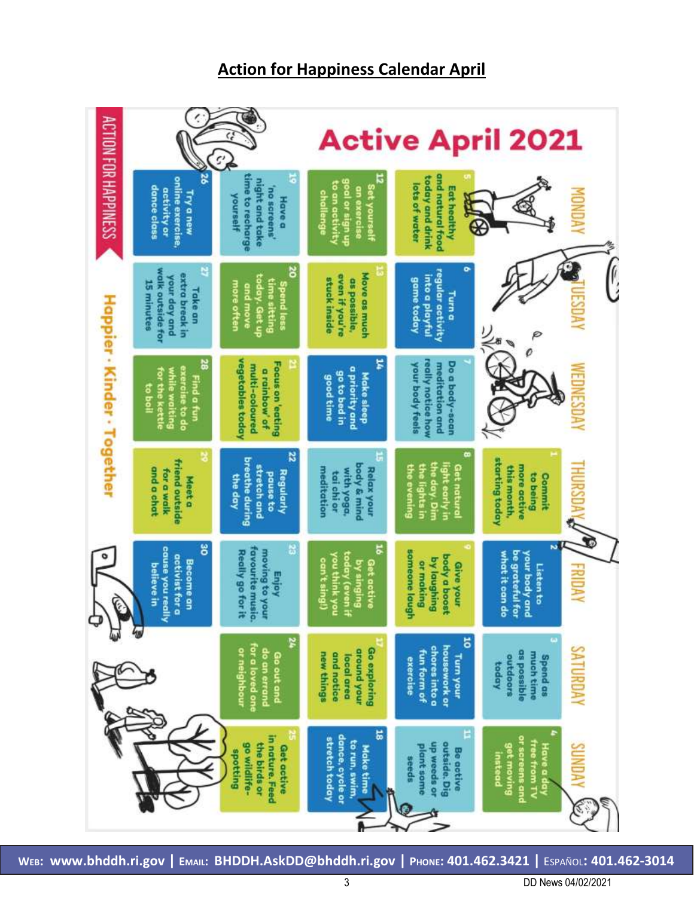## **Action for Happiness Calendar April**

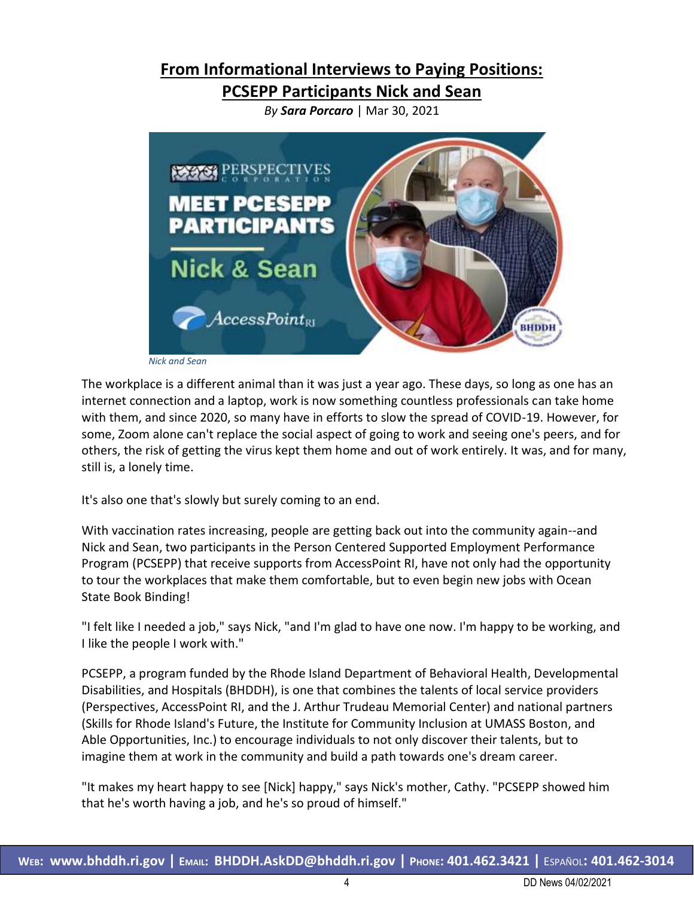## **From Informational Interviews to Paying Positions:**

**PCSEPP Participants Nick and Sean**

*By Sara Porcaro* | Mar 30, 2021



*Nick and Sean*

The workplace is a different animal than it was just a year ago. These days, so long as one has an internet connection and a laptop, work is now something countless professionals can take home with them, and since 2020, so many have in efforts to slow the spread of COVID-19. However, for some, Zoom alone can't replace the social aspect of going to work and seeing one's peers, and for others, the risk of getting the virus kept them home and out of work entirely. It was, and for many, still is, a lonely time.

It's also one that's slowly but surely coming to an end.

With vaccination rates increasing, people are getting back out into the community again--and Nick and Sean, two participants in the Person Centered Supported Employment Performance Program (PCSEPP) that receive supports from AccessPoint RI, have not only had the opportunity to tour the workplaces that make them comfortable, but to even begin new jobs with Ocean State Book Binding!

"I felt like I needed a job," says Nick, "and I'm glad to have one now. I'm happy to be working, and I like the people I work with."

PCSEPP, a program funded by the Rhode Island Department of Behavioral Health, Developmental Disabilities, and Hospitals (BHDDH), is one that combines the talents of local service providers (Perspectives, AccessPoint RI, and the J. Arthur Trudeau Memorial Center) and national partners (Skills for Rhode Island's Future, the Institute for Community Inclusion at UMASS Boston, and Able Opportunities, Inc.) to encourage individuals to not only discover their talents, but to imagine them at work in the community and build a path towards one's dream career.

"It makes my heart happy to see [Nick] happy," says Nick's mother, Cathy. "PCSEPP showed him that he's worth having a job, and he's so proud of himself."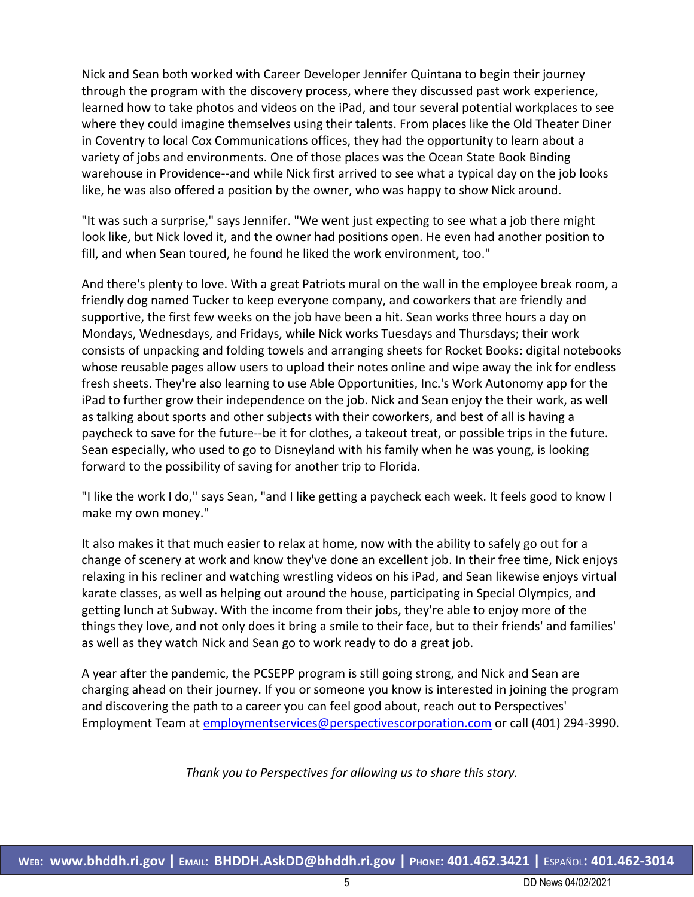Nick and Sean both worked with Career Developer Jennifer Quintana to begin their journey through the program with the discovery process, where they discussed past work experience, learned how to take photos and videos on the iPad, and tour several potential workplaces to see where they could imagine themselves using their talents. From places like the Old Theater Diner in Coventry to local Cox Communications offices, they had the opportunity to learn about a variety of jobs and environments. One of those places was the Ocean State Book Binding warehouse in Providence--and while Nick first arrived to see what a typical day on the job looks like, he was also offered a position by the owner, who was happy to show Nick around.

"It was such a surprise," says Jennifer. "We went just expecting to see what a job there might look like, but Nick loved it, and the owner had positions open. He even had another position to fill, and when Sean toured, he found he liked the work environment, too."

And there's plenty to love. With a great Patriots mural on the wall in the employee break room, a friendly dog named Tucker to keep everyone company, and coworkers that are friendly and supportive, the first few weeks on the job have been a hit. Sean works three hours a day on Mondays, Wednesdays, and Fridays, while Nick works Tuesdays and Thursdays; their work consists of unpacking and folding towels and arranging sheets for Rocket Books: digital notebooks whose reusable pages allow users to upload their notes online and wipe away the ink for endless fresh sheets. They're also learning to use Able Opportunities, Inc.'s Work Autonomy app for the iPad to further grow their independence on the job. Nick and Sean enjoy the their work, as well as talking about sports and other subjects with their coworkers, and best of all is having a paycheck to save for the future--be it for clothes, a takeout treat, or possible trips in the future. Sean especially, who used to go to Disneyland with his family when he was young, is looking forward to the possibility of saving for another trip to Florida.

"I like the work I do," says Sean, "and I like getting a paycheck each week. It feels good to know I make my own money."

It also makes it that much easier to relax at home, now with the ability to safely go out for a change of scenery at work and know they've done an excellent job. In their free time, Nick enjoys relaxing in his recliner and watching wrestling videos on his iPad, and Sean likewise enjoys virtual karate classes, as well as helping out around the house, participating in Special Olympics, and getting lunch at Subway. With the income from their jobs, they're able to enjoy more of the things they love, and not only does it bring a smile to their face, but to their friends' and families' as well as they watch Nick and Sean go to work ready to do a great job.

A year after the pandemic, the PCSEPP program is still going strong, and Nick and Sean are charging ahead on their journey. If you or someone you know is interested in joining the program and discovering the path to a career you can feel good about, reach out to Perspectives' Employment Team at [employmentservices@perspectivescorporation.com](mailto:employmentservices@perspectivescorporation.com) or call (401) 294-3990.

*Thank you to Perspectives for allowing us to share this story.*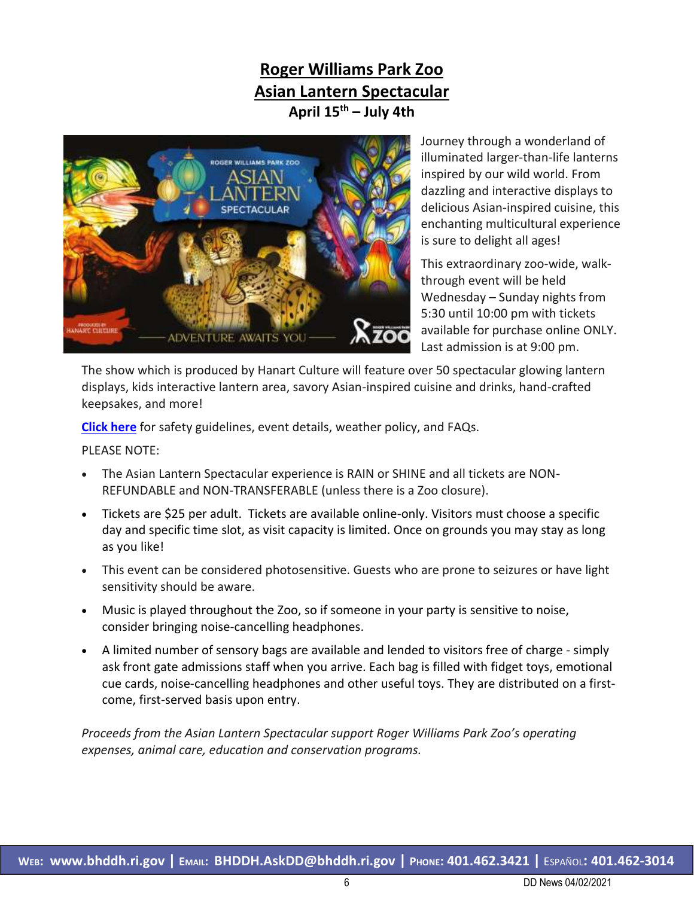## **Roger Williams Park Zoo Asian Lantern Spectacular April 15th – July 4th**



Journey through a wonderland of illuminated larger-than-life lanterns inspired by our wild world. From dazzling and interactive displays to delicious Asian-inspired cuisine, this enchanting multicultural experience is sure to delight all ages!

This extraordinary zoo-wide, walkthrough event will be held Wednesday – Sunday nights from 5:30 until 10:00 pm with tickets available for purchase online ONLY. Last admission is at 9:00 pm.

The show which is produced by Hanart Culture will feature over 50 spectacular glowing lantern displays, kids interactive lantern area, savory Asian-inspired cuisine and drinks, hand-crafted keepsakes, and more!

**[Click here](http://www.rwpzoo.org/lantern)** for safety guidelines, event details, weather policy, and FAQs.

PLEASE NOTE:

- The Asian Lantern Spectacular experience is RAIN or SHINE and all tickets are NON-REFUNDABLE and NON-TRANSFERABLE (unless there is a Zoo closure).
- Tickets are \$25 per adult. Tickets are available online-only. Visitors must choose a specific day and specific time slot, as visit capacity is limited. Once on grounds you may stay as long as you like!
- This event can be considered photosensitive. Guests who are prone to seizures or have light sensitivity should be aware.
- Music is played throughout the Zoo, so if someone in your party is sensitive to noise, consider bringing noise-cancelling headphones.
- A limited number of sensory bags are available and lended to visitors free of charge simply ask front gate admissions staff when you arrive. Each bag is filled with fidget toys, emotional cue cards, noise-cancelling headphones and other useful toys. They are distributed on a firstcome, first-served basis upon entry.

*Proceeds from the Asian Lantern Spectacular support Roger Williams Park Zoo's operating expenses, animal care, education and conservation programs.*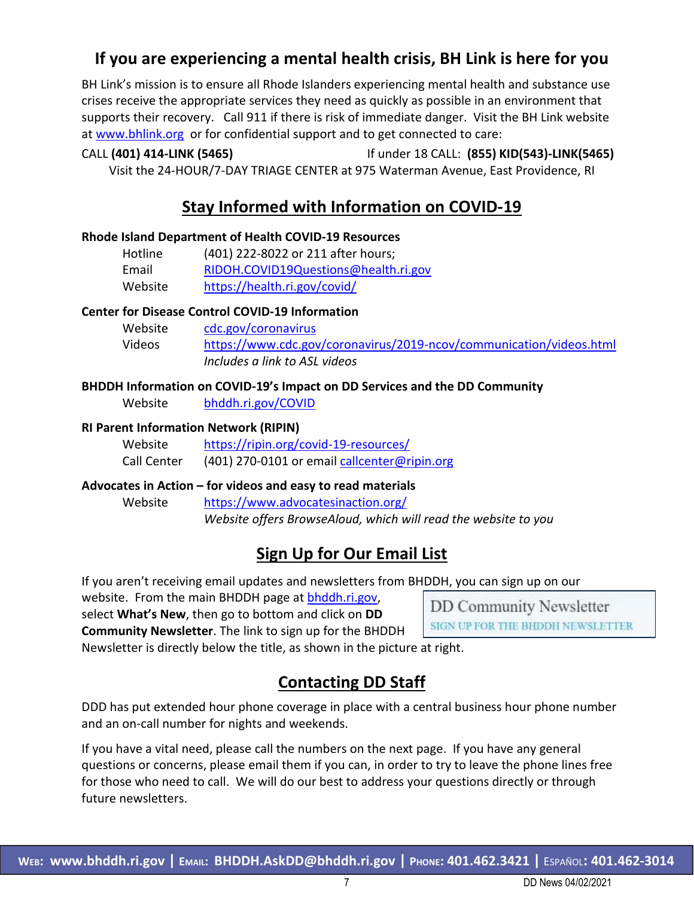## **If you are experiencing a mental health crisis, BH Link is here for you**

BH Link's mission is to ensure all Rhode Islanders experiencing mental health and substance use crises receive the appropriate services they need as quickly as possible in an environment that supports their recovery. Call 911 if there is risk of immediate danger. Visit the BH Link website at [www.bhlink.org](http://www.bhlink.org/) or for confidential support and to get connected to care:

# CALL **(401) 414-LINK (5465)** If under 18 CALL: **(855) KID(543)-LINK(5465)**

Visit the 24-HOUR/7-DAY TRIAGE CENTER at 975 Waterman Avenue, East Providence, RI

## **Stay Informed with Information on COVID-19**

### **Rhode Island Department of Health COVID-19 Resources**

| Hotline | (401) 222-8022 or 211 after hours;   |
|---------|--------------------------------------|
| Email   | RIDOH.COVID19Questions@health.ri.gov |
| Website | https://health.ri.gov/covid/         |

### **Center for Disease Control COVID-19 Information**

| Website | cdc.gov/coronavirus                                                 |
|---------|---------------------------------------------------------------------|
| Videos  | https://www.cdc.gov/coronavirus/2019-ncov/communication/videos.html |
|         | Includes a link to ASL videos                                       |

### **BHDDH Information on COVID-19's Impact on DD Services and the DD Community**

Website [bhddh.ri.gov/COVID](http://www.bhddh.ri.gov/COVID) 

### **RI Parent Information Network (RIPIN)**

| Website     | https://ripin.org/covid-19-resources/        |
|-------------|----------------------------------------------|
| Call Center | (401) 270-0101 or email callcenter@ripin.org |

### **Advocates in Action – for videos and easy to read materials**

Website <https://www.advocatesinaction.org/> *Website offers BrowseAloud, which will read the website to you*

## **Sign Up for Our Email List**

If you aren't receiving email updates and newsletters from BHDDH, you can sign up on our

website. From the main BHDDH page at [bhddh.ri.gov,](http://www.bhddh.ri.gov/)

select **What's New**, then go to bottom and click on **DD Community Newsletter**. The link to sign up for the BHDDH

**DD Community Newsletter** SIGN UP FOR THE BHDDH NEWSLETTER

Newsletter is directly below the title, as shown in the picture at right.

## **Contacting DD Staff**

DDD has put extended hour phone coverage in place with a central business hour phone number and an on-call number for nights and weekends.

If you have a vital need, please call the numbers on the next page. If you have any general questions or concerns, please email them if you can, in order to try to leave the phone lines free for those who need to call. We will do our best to address your questions directly or through future newsletters.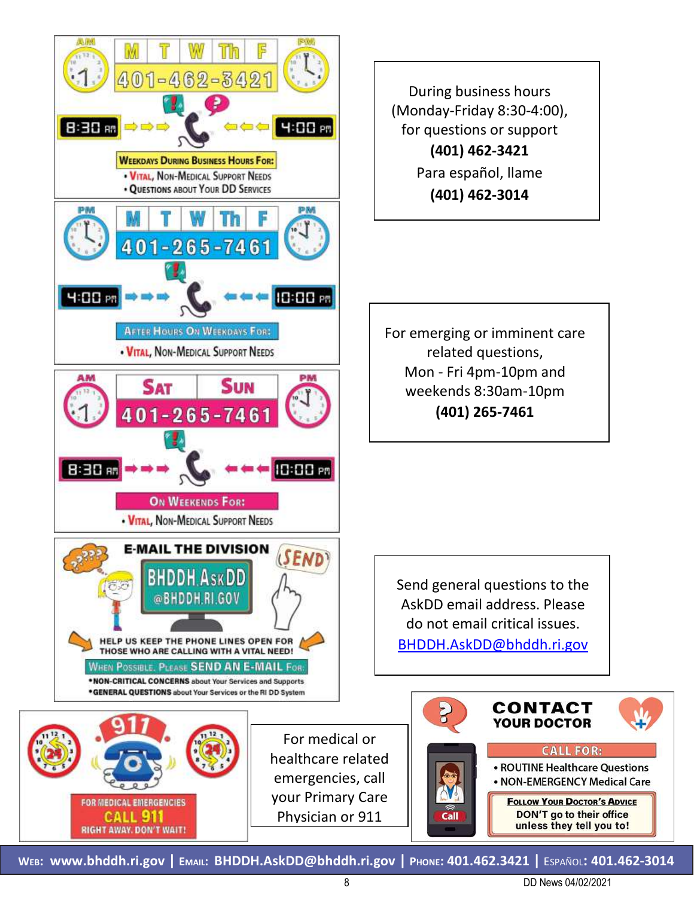

During business hours (Monday-Friday 8:30-4:00), for questions or support **(401) 462-3421** Para español, llame **(401) 462-3014**

For emerging or imminent care related questions, Mon - Fri 4pm-10pm and weekends 8:30am-10pm **(401) 265-7461**

Send general questions to the AskDD email address. Please do not email critical issues. [BHDDH.AskDD@bhddh.ri.gov](mailto:BHDDH.AskDD@bhddh.ri.gov)



**WEB: [www.bhddh.ri.gov](http://www.bhddh.ri.gov/) | EMAIL: [BHDDH.AskDD@bhddh.ri.gov](mailto:BHDDH.AskDD@bhddh.ri.gov) | PHONE: 401.462.3421 |** ESPAÑOL**: 401.462-3014**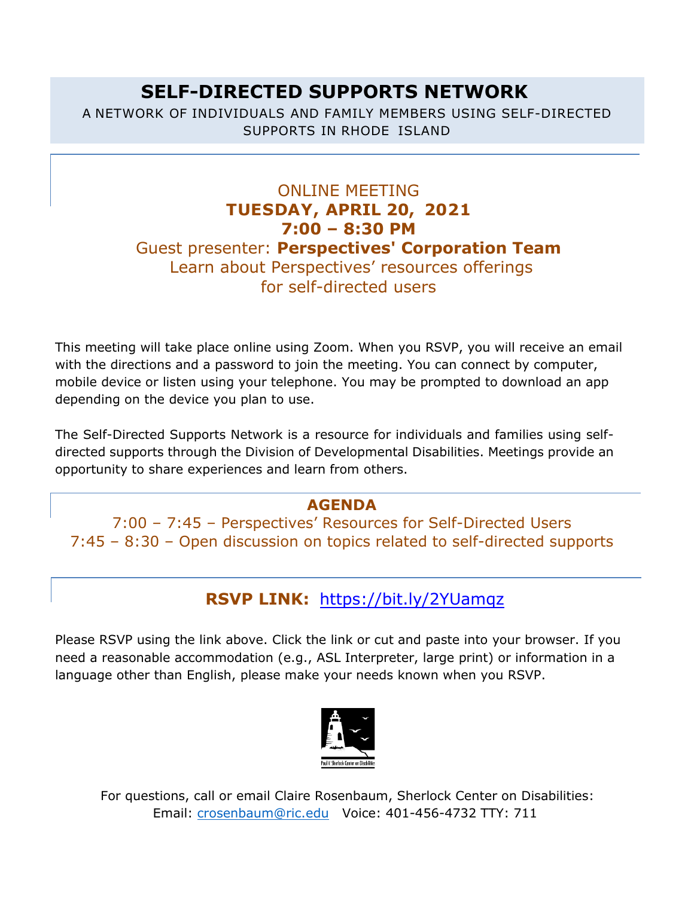# **SELF-DIRECTED SUPPORTS NETWORK**

A NETWORK OF INDIVIDUALS AND FAMILY MEMBERS USING SELF-DIRECTED SUPPORTS IN RHODE ISLAND

## ONLINE MEETING **TUESDAY, APRIL 20, 2021 7:00 – 8:30 PM**  Guest presenter: **Perspectives' Corporation Team** Learn about Perspectives' resources offerings for self-directed users

This meeting will take place online using Zoom. When you RSVP, you will receive an email with the directions and a password to join the meeting. You can connect by computer, mobile device or listen using your telephone. You may be prompted to download an app depending on the device you plan to use.

The Self-Directed Supports Network is a resource for individuals and families using selfdirected supports through the Division of Developmental Disabilities. Meetings provide an opportunity to share experiences and learn from others.

## **AGENDA**

7:00 – 7:45 – Perspectives' Resources for Self-Directed Users 7:45 – 8:30 – Open discussion on topics related to self-directed supports

## **RSVP LINK:** <https://bit.ly/2YUamqz>

Please RSVP using the link above. Click the link or cut and paste into your browser. If you need a reasonable accommodation (e.g., ASL Interpreter, large print) or information in a language other than English, please make your needs known when you RSVP.



For questions, call or email Claire Rosenbaum, Sherlock Center on Disabilities: Email: [crosenbaum@ric.edu](mailto:crosenbaum@ric.edu) Voice: 401-456-4732 TTY: 711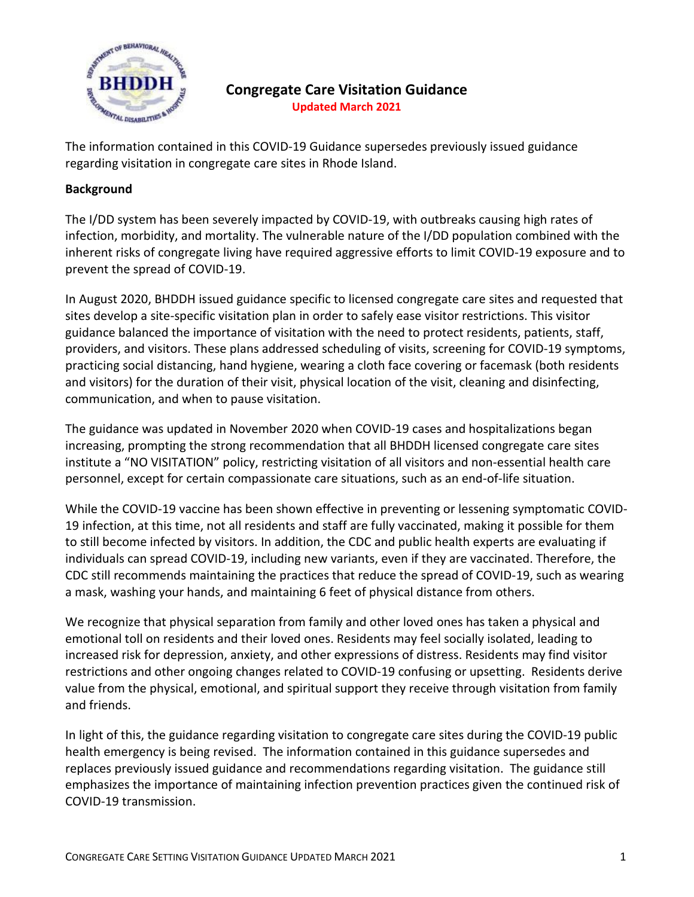

### **Congregate Care Visitation Guidance Updated March 2021**

The information contained in this COVID-19 Guidance supersedes previously issued guidance regarding visitation in congregate care sites in Rhode Island.

### **Background**

The I/DD system has been severely impacted by COVID-19, with outbreaks causing high rates of infection, morbidity, and mortality. The vulnerable nature of the I/DD population combined with the inherent risks of congregate living have required aggressive efforts to limit COVID-19 exposure and to prevent the spread of COVID-19.

In August 2020, BHDDH issued guidance specific to licensed congregate care sites and requested that sites develop a site-specific visitation plan in order to safely ease visitor restrictions. This visitor guidance balanced the importance of visitation with the need to protect residents, patients, staff, providers, and visitors. These plans addressed scheduling of visits, screening for COVID-19 symptoms, practicing social distancing, hand hygiene, wearing a cloth face covering or facemask (both residents and visitors) for the duration of their visit, physical location of the visit, cleaning and disinfecting, communication, and when to pause visitation.

The guidance was updated in November 2020 when COVID-19 cases and hospitalizations began increasing, prompting the strong recommendation that all BHDDH licensed congregate care sites institute a "NO VISITATION" policy, restricting visitation of all visitors and non-essential health care personnel, except for certain compassionate care situations, such as an end-of-life situation.

While the COVID-19 vaccine has been shown effective in preventing or lessening symptomatic COVID-19 infection, at this time, not all residents and staff are fully vaccinated, making it possible for them to still become infected by visitors. In addition, the CDC and public health experts are evaluating if individuals can spread COVID-19, including new variants, even if they are vaccinated. Therefore, the CDC still recommends maintaining the practices that reduce the spread of COVID-19, such as wearing a mask, washing your hands, and maintaining 6 feet of physical distance from others.

We recognize that physical separation from family and other loved ones has taken a physical and emotional toll on residents and their loved ones. Residents may feel socially isolated, leading to increased risk for depression, anxiety, and other expressions of distress. Residents may find visitor restrictions and other ongoing changes related to COVID-19 confusing or upsetting. Residents derive value from the physical, emotional, and spiritual support they receive through visitation from family and friends.

In light of this, the guidance regarding visitation to congregate care sites during the COVID-19 public health emergency is being revised. The information contained in this guidance supersedes and replaces previously issued guidance and recommendations regarding visitation. The guidance still emphasizes the importance of maintaining infection prevention practices given the continued risk of COVID-19 transmission.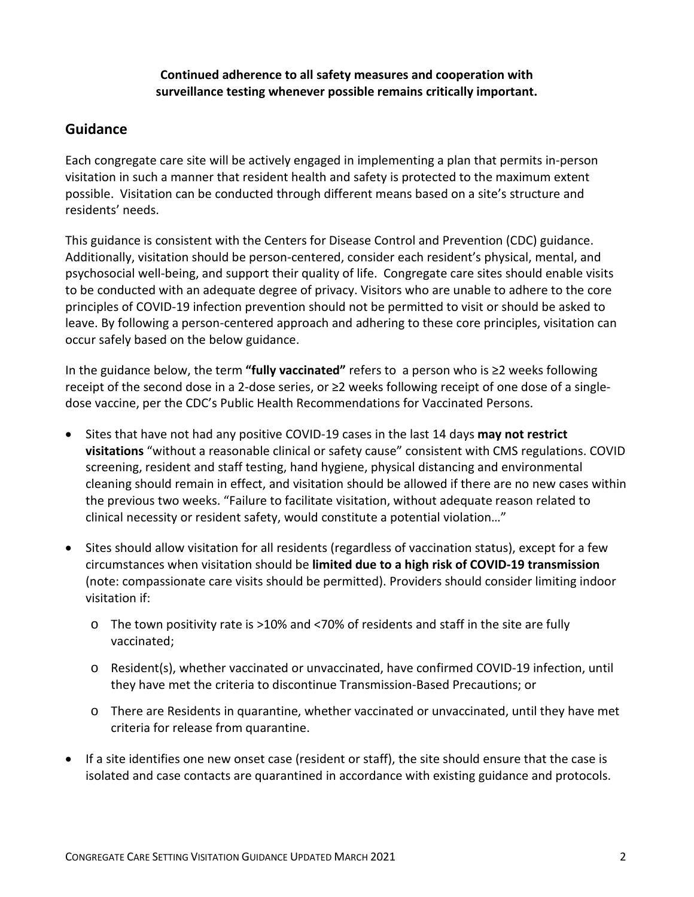### **Continued adherence to all safety measures and cooperation with surveillance testing whenever possible remains critically important.**

### **Guidance**

Each congregate care site will be actively engaged in implementing a plan that permits in-person visitation in such a manner that resident health and safety is protected to the maximum extent possible. Visitation can be conducted through different means based on a site's structure and residents' needs.

This guidance is consistent with the Centers for Disease Control and Prevention (CDC) guidance. Additionally, visitation should be person-centered, consider each resident's physical, mental, and psychosocial well-being, and support their quality of life. Congregate care sites should enable visits to be conducted with an adequate degree of privacy. Visitors who are unable to adhere to the core principles of COVID-19 infection prevention should not be permitted to visit or should be asked to leave. By following a person-centered approach and adhering to these core principles, visitation can occur safely based on the below guidance.

In the guidance below, the term **"fully vaccinated"** refers to a person who is ≥2 weeks following receipt of the second dose in a 2-dose series, or ≥2 weeks following receipt of one dose of a singledose vaccine, per the CDC's Public Health Recommendations for Vaccinated Persons.

- Sites that have not had any positive COVID-19 cases in the last 14 days **may not restrict visitations** "without a reasonable clinical or safety cause" consistent with CMS regulations. COVID screening, resident and staff testing, hand hygiene, physical distancing and environmental cleaning should remain in effect, and visitation should be allowed if there are no new cases within the previous two weeks. "Failure to facilitate visitation, without adequate reason related to clinical necessity or resident safety, would constitute a potential violation…"
- Sites should allow visitation for all residents (regardless of vaccination status), except for a few circumstances when visitation should be **limited due to a high risk of COVID-19 transmission** (note: compassionate care visits should be permitted). Providers should consider limiting indoor visitation if:
	- o The town positivity rate is >10% and <70% of residents and staff in the site are fully vaccinated;
	- o Resident(s), whether vaccinated or unvaccinated, have confirmed COVID-19 infection, until they have met the criteria to discontinue Transmission-Based Precautions; or
	- o There are Residents in quarantine, whether vaccinated or unvaccinated, until they have met criteria for release from quarantine.
- If a site identifies one new onset case (resident or staff), the site should ensure that the case is isolated and case contacts are quarantined in accordance with existing guidance and protocols.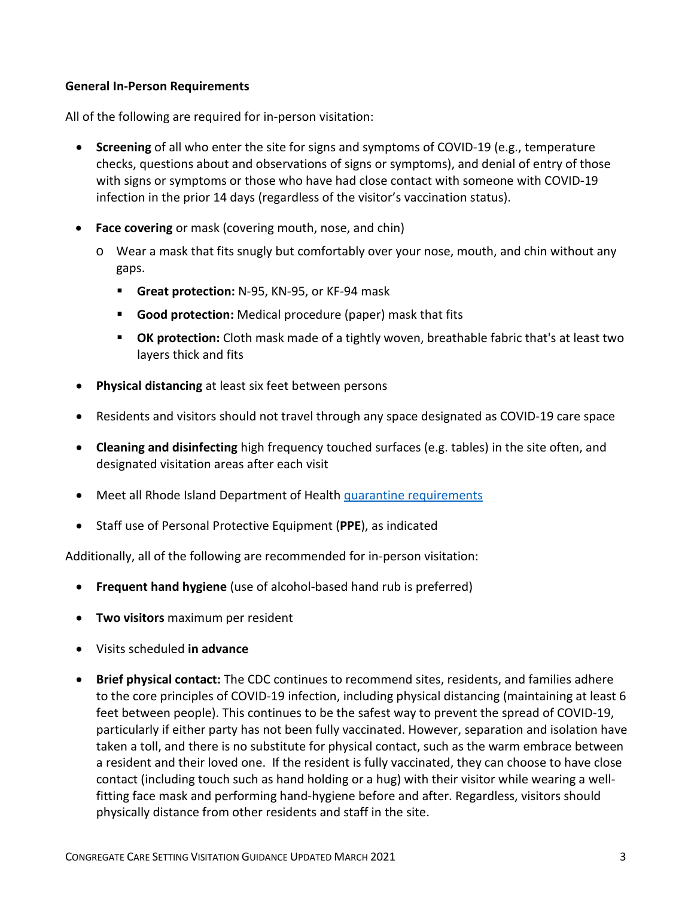### **General In-Person Requirements**

All of the following are required for in-person visitation:

- **Screening** of all who enter the site for signs and symptoms of COVID-19 (e.g., temperature checks, questions about and observations of signs or symptoms), and denial of entry of those with signs or symptoms or those who have had close contact with someone with COVID-19 infection in the prior 14 days (regardless of the visitor's vaccination status).
- **Face covering** or mask (covering mouth, nose, and chin)
	- o Wear a mask that fits snugly but comfortably over your nose, mouth, and chin without any gaps.
		- **Great protection:** N-95, KN-95, or KF-94 mask
		- **Good protection:** Medical procedure (paper) mask that fits
		- **OK protection:** Cloth mask made of a tightly woven, breathable fabric that's at least two layers thick and fits
- **Physical distancing** at least six feet between persons
- Residents and visitors should not travel through any space designated as COVID-19 care space
- **Cleaning and disinfecting** high frequency touched surfaces (e.g. tables) in the site often, and designated visitation areas after each visit
- Meet all Rhode Island Department of Health [quarantine requirements](https://covid.ri.gov/covid-19-prevention/quarantine-and-isolation)
- Staff use of Personal Protective Equipment (**PPE**), as indicated

Additionally, all of the following are recommended for in-person visitation:

- **Frequent hand hygiene** (use of alcohol-based hand rub is preferred)
- **Two visitors** maximum per resident
- Visits scheduled **in advance**
- **Brief physical contact:** The CDC continues to recommend sites, residents, and families adhere to the core principles of COVID-19 infection, including physical distancing (maintaining at least 6 feet between people). This continues to be the safest way to prevent the spread of COVID-19, particularly if either party has not been fully vaccinated. However, separation and isolation have taken a toll, and there is no substitute for physical contact, such as the warm embrace between a resident and their loved one. If the resident is fully vaccinated, they can choose to have close contact (including touch such as hand holding or a hug) with their visitor while wearing a wellfitting face mask and performing hand-hygiene before and after. Regardless, visitors should physically distance from other residents and staff in the site.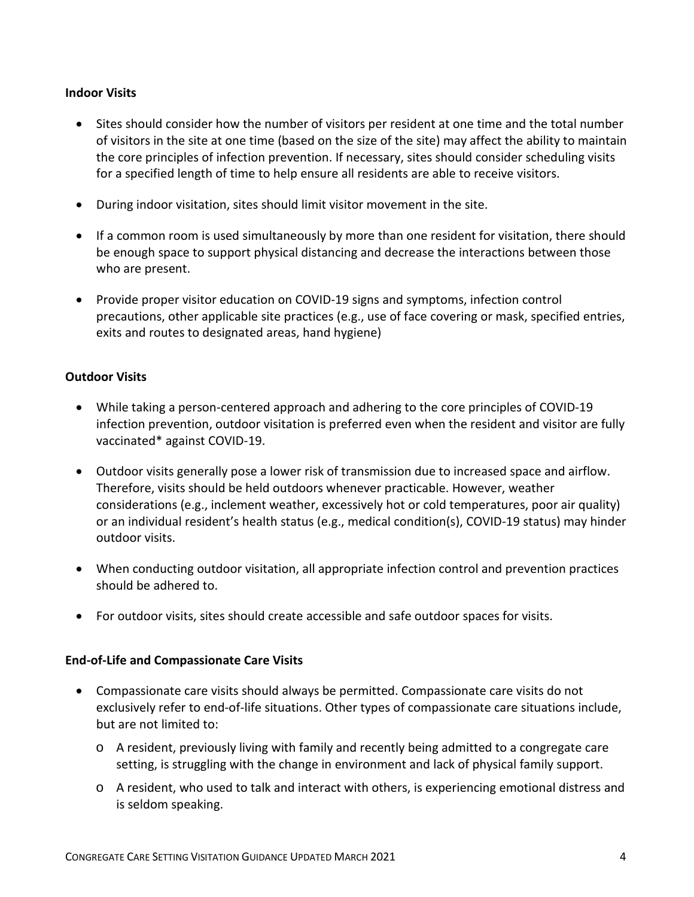### **Indoor Visits**

- Sites should consider how the number of visitors per resident at one time and the total number of visitors in the site at one time (based on the size of the site) may affect the ability to maintain the core principles of infection prevention. If necessary, sites should consider scheduling visits for a specified length of time to help ensure all residents are able to receive visitors.
- During indoor visitation, sites should limit visitor movement in the site.
- If a common room is used simultaneously by more than one resident for visitation, there should be enough space to support physical distancing and decrease the interactions between those who are present.
- Provide proper visitor education on COVID-19 signs and symptoms, infection control precautions, other applicable site practices (e.g., use of face covering or mask, specified entries, exits and routes to designated areas, hand hygiene)

### **Outdoor Visits**

- While taking a person-centered approach and adhering to the core principles of COVID-19 infection prevention, outdoor visitation is preferred even when the resident and visitor are fully vaccinated\* against COVID-19.
- Outdoor visits generally pose a lower risk of transmission due to increased space and airflow. Therefore, visits should be held outdoors whenever practicable. However, weather considerations (e.g., inclement weather, excessively hot or cold temperatures, poor air quality) or an individual resident's health status (e.g., medical condition(s), COVID-19 status) may hinder outdoor visits.
- When conducting outdoor visitation, all appropriate infection control and prevention practices should be adhered to.
- For outdoor visits, sites should create accessible and safe outdoor spaces for visits.

#### **End-of-Life and Compassionate Care Visits**

- Compassionate care visits should always be permitted. Compassionate care visits do not exclusively refer to end-of-life situations. Other types of compassionate care situations include, but are not limited to:
	- o A resident, previously living with family and recently being admitted to a congregate care setting, is struggling with the change in environment and lack of physical family support.
	- o A resident, who used to talk and interact with others, is experiencing emotional distress and is seldom speaking.